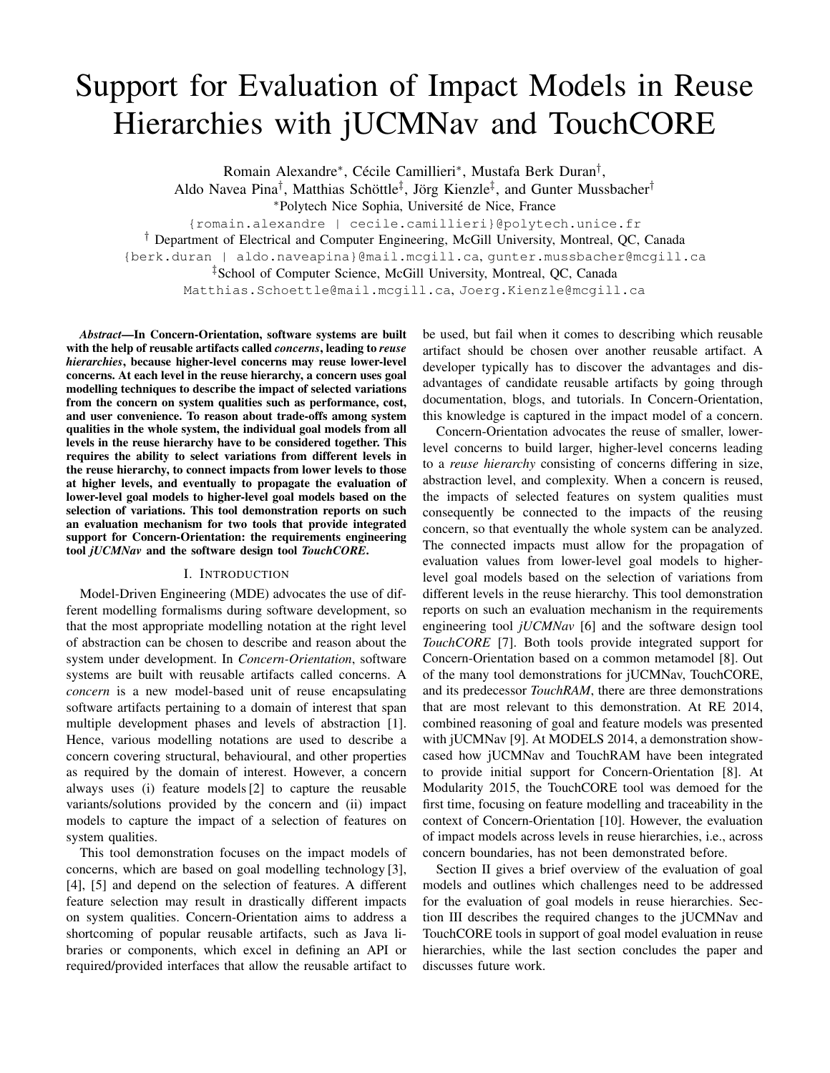# Support for Evaluation of Impact Models in Reuse Hierarchies with jUCMNav and TouchCORE

Romain Alexandre⇤, Cécile Camillieri⇤, Mustafa Berk Duran*†*, Aldo Navea Pina*†*, Matthias Schöttle*‡*, Jörg Kienzle*‡*, and Gunter Mussbacher*†* ⇤Polytech Nice Sophia, Université de Nice, France {romain.alexandre | cecile.camillieri}@polytech.unice.fr *†* Department of Electrical and Computer Engineering, McGill University, Montreal, QC, Canada {berk.duran | aldo.naveapina}@mail.mcgill.ca, gunter.mussbacher@mcgill.ca *‡*School of Computer Science, McGill University, Montreal, QC, Canada

Matthias.Schoettle@mail.mcgill.ca, Joerg.Kienzle@mcgill.ca

*Abstract*—In Concern-Orientation, software systems are built with the help of reusable artifacts called *concerns*, leading to *reuse hierarchies*, because higher-level concerns may reuse lower-level concerns. At each level in the reuse hierarchy, a concern uses goal modelling techniques to describe the impact of selected variations from the concern on system qualities such as performance, cost, and user convenience. To reason about trade-offs among system qualities in the whole system, the individual goal models from all levels in the reuse hierarchy have to be considered together. This requires the ability to select variations from different levels in the reuse hierarchy, to connect impacts from lower levels to those at higher levels, and eventually to propagate the evaluation of lower-level goal models to higher-level goal models based on the selection of variations. This tool demonstration reports on such an evaluation mechanism for two tools that provide integrated support for Concern-Orientation: the requirements engineering tool *jUCMNav* and the software design tool *TouchCORE*.

#### I. INTRODUCTION

Model-Driven Engineering (MDE) advocates the use of different modelling formalisms during software development, so that the most appropriate modelling notation at the right level of abstraction can be chosen to describe and reason about the system under development. In *Concern-Orientation*, software systems are built with reusable artifacts called concerns. A *concern* is a new model-based unit of reuse encapsulating software artifacts pertaining to a domain of interest that span multiple development phases and levels of abstraction [\[1\]](#page-3-0). Hence, various modelling notations are used to describe a concern covering structural, behavioural, and other properties as required by the domain of interest. However, a concern always uses (i) feature models [\[2\]](#page-3-1) to capture the reusable variants/solutions provided by the concern and (ii) impact models to capture the impact of a selection of features on system qualities.

This tool demonstration focuses on the impact models of concerns, which are based on goal modelling technology [\[3\]](#page-3-2), [\[4\]](#page-3-3), [\[5\]](#page-3-4) and depend on the selection of features. A different feature selection may result in drastically different impacts on system qualities. Concern-Orientation aims to address a shortcoming of popular reusable artifacts, such as Java libraries or components, which excel in defining an API or required/provided interfaces that allow the reusable artifact to

be used, but fail when it comes to describing which reusable artifact should be chosen over another reusable artifact. A developer typically has to discover the advantages and disadvantages of candidate reusable artifacts by going through documentation, blogs, and tutorials. In Concern-Orientation, this knowledge is captured in the impact model of a concern.

Concern-Orientation advocates the reuse of smaller, lowerlevel concerns to build larger, higher-level concerns leading to a *reuse hierarchy* consisting of concerns differing in size, abstraction level, and complexity. When a concern is reused, the impacts of selected features on system qualities must consequently be connected to the impacts of the reusing concern, so that eventually the whole system can be analyzed. The connected impacts must allow for the propagation of evaluation values from lower-level goal models to higherlevel goal models based on the selection of variations from different levels in the reuse hierarchy. This tool demonstration reports on such an evaluation mechanism in the requirements engineering tool *jUCMNav* [\[6\]](#page-3-5) and the software design tool *TouchCORE* [\[7\]](#page-3-6). Both tools provide integrated support for Concern-Orientation based on a common metamodel [\[8\]](#page-3-7). Out of the many tool demonstrations for jUCMNav, TouchCORE, and its predecessor *TouchRAM*, there are three demonstrations that are most relevant to this demonstration. At RE 2014, combined reasoning of goal and feature models was presented with jUCMNav [\[9\]](#page-3-8). At MODELS 2014, a demonstration showcased how jUCMNav and TouchRAM have been integrated to provide initial support for Concern-Orientation [\[8\]](#page-3-7). At Modularity 2015, the TouchCORE tool was demoed for the first time, focusing on feature modelling and traceability in the context of Concern-Orientation [\[10\]](#page-3-9). However, the evaluation of impact models across levels in reuse hierarchies, i.e., across concern boundaries, has not been demonstrated before.

Section [II](#page-1-0) gives a brief overview of the evaluation of goal models and outlines which challenges need to be addressed for the evaluation of goal models in reuse hierarchies. Section [III](#page-2-0) describes the required changes to the jUCMNav and TouchCORE tools in support of goal model evaluation in reuse hierarchies, while the last section concludes the paper and discusses future work.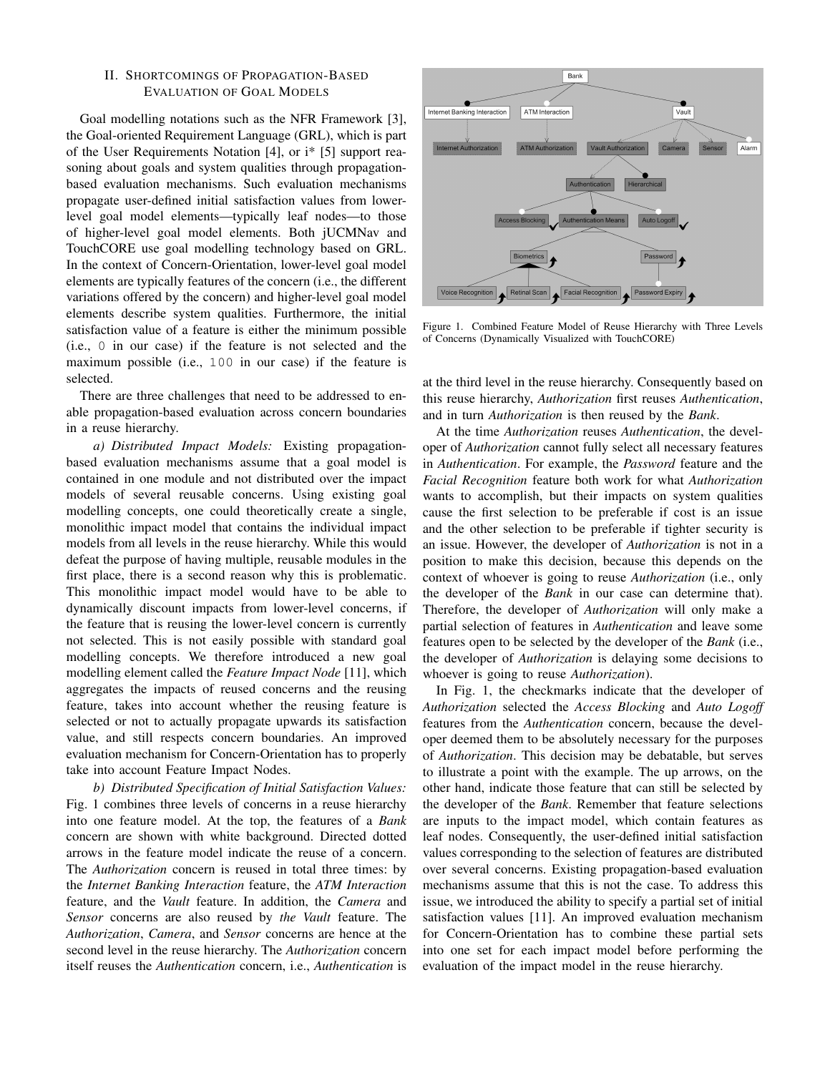## <span id="page-1-0"></span>II. SHORTCOMINGS OF PROPAGATION-BASED EVALUATION OF GOAL MODELS

Goal modelling notations such as the NFR Framework [\[3\]](#page-3-2), the Goal-oriented Requirement Language (GRL), which is part of the User Requirements Notation [\[4\]](#page-3-3), or i\* [\[5\]](#page-3-4) support reasoning about goals and system qualities through propagationbased evaluation mechanisms. Such evaluation mechanisms propagate user-defined initial satisfaction values from lowerlevel goal model elements—typically leaf nodes—to those of higher-level goal model elements. Both jUCMNav and TouchCORE use goal modelling technology based on GRL. In the context of Concern-Orientation, lower-level goal model elements are typically features of the concern (i.e., the different variations offered by the concern) and higher-level goal model elements describe system qualities. Furthermore, the initial satisfaction value of a feature is either the minimum possible (i.e., 0 in our case) if the feature is not selected and the maximum possible (i.e., 100 in our case) if the feature is selected.

There are three challenges that need to be addressed to enable propagation-based evaluation across concern boundaries in a reuse hierarchy.

*a) Distributed Impact Models:* Existing propagationbased evaluation mechanisms assume that a goal model is contained in one module and not distributed over the impact models of several reusable concerns. Using existing goal modelling concepts, one could theoretically create a single, monolithic impact model that contains the individual impact models from all levels in the reuse hierarchy. While this would defeat the purpose of having multiple, reusable modules in the first place, there is a second reason why this is problematic. This monolithic impact model would have to be able to dynamically discount impacts from lower-level concerns, if the feature that is reusing the lower-level concern is currently not selected. This is not easily possible with standard goal modelling concepts. We therefore introduced a new goal modelling element called the *Feature Impact Node* [\[11\]](#page-3-10), which aggregates the impacts of reused concerns and the reusing feature, takes into account whether the reusing feature is selected or not to actually propagate upwards its satisfaction value, and still respects concern boundaries. An improved evaluation mechanism for Concern-Orientation has to properly take into account Feature Impact Nodes.

*b) Distributed Specification of Initial Satisfaction Values:* Fig. [1](#page-1-1) combines three levels of concerns in a reuse hierarchy into one feature model. At the top, the features of a *Bank* concern are shown with white background. Directed dotted arrows in the feature model indicate the reuse of a concern. The *Authorization* concern is reused in total three times: by the *Internet Banking Interaction* feature, the *ATM Interaction* feature, and the *Vault* feature. In addition, the *Camera* and *Sensor* concerns are also reused by *the Vault* feature. The *Authorization*, *Camera*, and *Sensor* concerns are hence at the second level in the reuse hierarchy. The *Authorization* concern itself reuses the *Authentication* concern, i.e., *Authentication* is



<span id="page-1-1"></span>Figure 1. Combined Feature Model of Reuse Hierarchy with Three Levels of Concerns (Dynamically Visualized with TouchCORE)

at the third level in the reuse hierarchy. Consequently based on this reuse hierarchy, *Authorization* first reuses *Authentication*, and in turn *Authorization* is then reused by the *Bank*.

At the time *Authorization* reuses *Authentication*, the developer of *Authorization* cannot fully select all necessary features in *Authentication*. For example, the *Password* feature and the *Facial Recognition* feature both work for what *Authorization* wants to accomplish, but their impacts on system qualities cause the first selection to be preferable if cost is an issue and the other selection to be preferable if tighter security is an issue. However, the developer of *Authorization* is not in a position to make this decision, because this depends on the context of whoever is going to reuse *Authorization* (i.e., only the developer of the *Bank* in our case can determine that). Therefore, the developer of *Authorization* will only make a partial selection of features in *Authentication* and leave some features open to be selected by the developer of the *Bank* (i.e., the developer of *Authorization* is delaying some decisions to whoever is going to reuse *Authorization*).

In Fig. [1,](#page-1-1) the checkmarks indicate that the developer of *Authorization* selected the *Access Blocking* and *Auto Logoff* features from the *Authentication* concern, because the developer deemed them to be absolutely necessary for the purposes of *Authorization*. This decision may be debatable, but serves to illustrate a point with the example. The up arrows, on the other hand, indicate those feature that can still be selected by the developer of the *Bank*. Remember that feature selections are inputs to the impact model, which contain features as leaf nodes. Consequently, the user-defined initial satisfaction values corresponding to the selection of features are distributed over several concerns. Existing propagation-based evaluation mechanisms assume that this is not the case. To address this issue, we introduced the ability to specify a partial set of initial satisfaction values [\[11\]](#page-3-10). An improved evaluation mechanism for Concern-Orientation has to combine these partial sets into one set for each impact model before performing the evaluation of the impact model in the reuse hierarchy.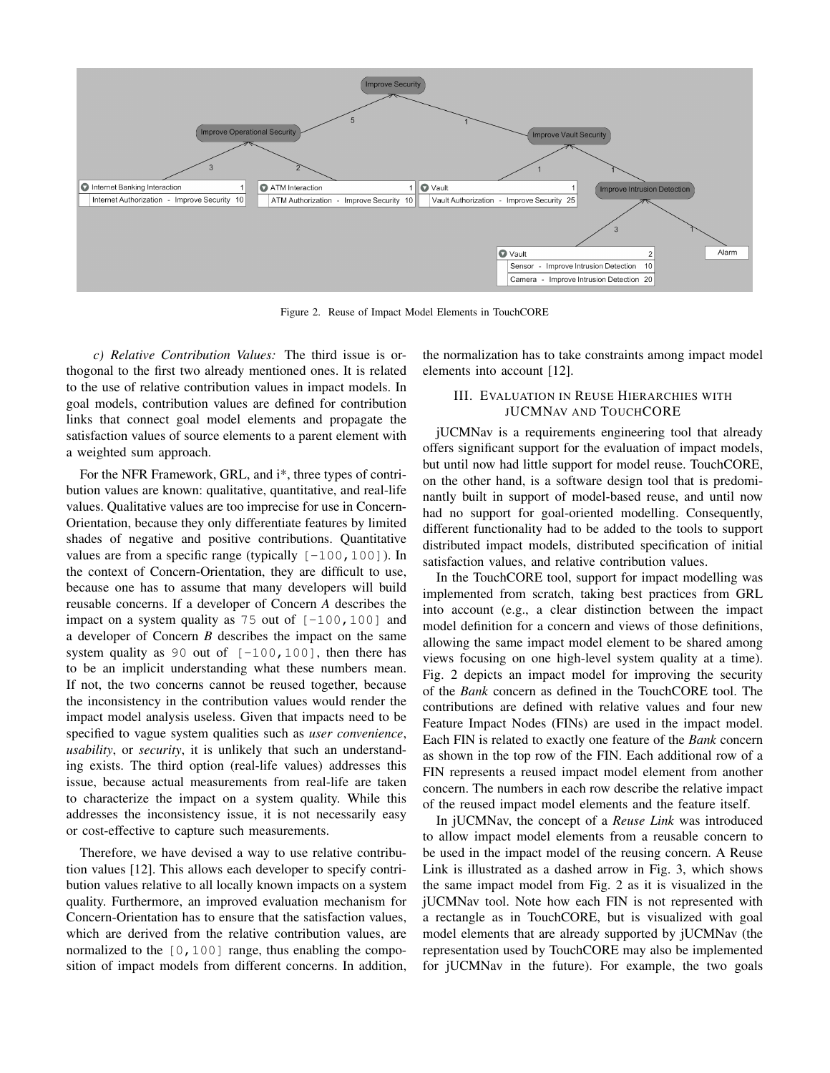

<span id="page-2-1"></span>Figure 2. Reuse of Impact Model Elements in TouchCORE

*c) Relative Contribution Values:* The third issue is orthogonal to the first two already mentioned ones. It is related to the use of relative contribution values in impact models. In goal models, contribution values are defined for contribution links that connect goal model elements and propagate the satisfaction values of source elements to a parent element with a weighted sum approach.

For the NFR Framework, GRL, and i<sup>\*</sup>, three types of contribution values are known: qualitative, quantitative, and real-life values. Qualitative values are too imprecise for use in Concern-Orientation, because they only differentiate features by limited shades of negative and positive contributions. Quantitative values are from a specific range (typically  $[-100, 100]$ ). In the context of Concern-Orientation, they are difficult to use, because one has to assume that many developers will build reusable concerns. If a developer of Concern *A* describes the impact on a system quality as  $75$  out of  $[-100, 100]$  and a developer of Concern *B* describes the impact on the same system quality as 90 out of  $[-100, 100]$ , then there has to be an implicit understanding what these numbers mean. If not, the two concerns cannot be reused together, because the inconsistency in the contribution values would render the impact model analysis useless. Given that impacts need to be specified to vague system qualities such as *user convenience*, *usability*, or *security*, it is unlikely that such an understanding exists. The third option (real-life values) addresses this issue, because actual measurements from real-life are taken to characterize the impact on a system quality. While this addresses the inconsistency issue, it is not necessarily easy or cost-effective to capture such measurements.

Therefore, we have devised a way to use relative contribution values [\[12\]](#page-3-11). This allows each developer to specify contribution values relative to all locally known impacts on a system quality. Furthermore, an improved evaluation mechanism for Concern-Orientation has to ensure that the satisfaction values, which are derived from the relative contribution values, are normalized to the  $[0,100]$  range, thus enabling the composition of impact models from different concerns. In addition, the normalization has to take constraints among impact model elements into account [\[12\]](#page-3-11).

# <span id="page-2-0"></span>III. EVALUATION IN REUSE HIERARCHIES WITH JUCMNAV AND TOUCHCORE

jUCMNav is a requirements engineering tool that already offers significant support for the evaluation of impact models, but until now had little support for model reuse. TouchCORE, on the other hand, is a software design tool that is predominantly built in support of model-based reuse, and until now had no support for goal-oriented modelling. Consequently, different functionality had to be added to the tools to support distributed impact models, distributed specification of initial satisfaction values, and relative contribution values.

In the TouchCORE tool, support for impact modelling was implemented from scratch, taking best practices from GRL into account (e.g., a clear distinction between the impact model definition for a concern and views of those definitions, allowing the same impact model element to be shared among views focusing on one high-level system quality at a time). Fig. [2](#page-2-1) depicts an impact model for improving the security of the *Bank* concern as defined in the TouchCORE tool. The contributions are defined with relative values and four new Feature Impact Nodes (FINs) are used in the impact model. Each FIN is related to exactly one feature of the *Bank* concern as shown in the top row of the FIN. Each additional row of a FIN represents a reused impact model element from another concern. The numbers in each row describe the relative impact of the reused impact model elements and the feature itself.

In jUCMNav, the concept of a *Reuse Link* was introduced to allow impact model elements from a reusable concern to be used in the impact model of the reusing concern. A Reuse Link is illustrated as a dashed arrow in Fig. [3,](#page-3-12) which shows the same impact model from Fig. [2](#page-2-1) as it is visualized in the jUCMNav tool. Note how each FIN is not represented with a rectangle as in TouchCORE, but is visualized with goal model elements that are already supported by jUCMNav (the representation used by TouchCORE may also be implemented for jUCMNav in the future). For example, the two goals